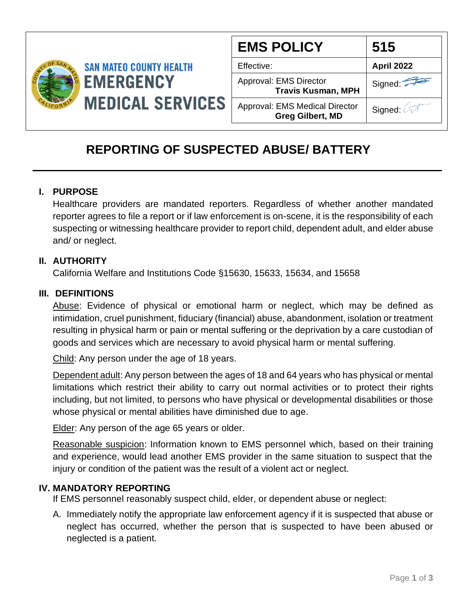

| <b>EMS POLICY</b>                                                | 515               |
|------------------------------------------------------------------|-------------------|
| Effective:                                                       | <b>April 2022</b> |
| Approval: EMS Director<br><b>Travis Kusman, MPH</b>              | Signed:           |
| <b>Approval: EMS Medical Director</b><br><b>Greg Gilbert, MD</b> | Signed: 4         |

# **REPORTING OF SUSPECTED ABUSE/ BATTERY**

## **I. PURPOSE**

Healthcare providers are mandated reporters. Regardless of whether another mandated reporter agrees to file a report or if law enforcement is on-scene, it is the responsibility of each suspecting or witnessing healthcare provider to report child, dependent adult, and elder abuse and/ or neglect.

### **II. AUTHORITY**

California Welfare and Institutions Code §15630, 15633, 15634, and 15658

#### **III. DEFINITIONS**

Abuse: Evidence of physical or emotional harm or neglect, which may be defined as intimidation, cruel punishment, fiduciary (financial) abuse, abandonment, isolation or treatment resulting in physical harm or pain or mental suffering or the deprivation by a care custodian of goods and services which are necessary to avoid physical harm or mental suffering.

Child: Any person under the age of 18 years.

Dependent adult: Any person between the ages of 18 and 64 years who has physical or mental limitations which restrict their ability to carry out normal activities or to protect their rights including, but not limited, to persons who have physical or developmental disabilities or those whose physical or mental abilities have diminished due to age.

Elder: Any person of the age 65 years or older.

Reasonable suspicion: Information known to EMS personnel which, based on their training and experience, would lead another EMS provider in the same situation to suspect that the injury or condition of the patient was the result of a violent act or neglect.

### **IV. MANDATORY REPORTING**

If EMS personnel reasonably suspect child, elder, or dependent abuse or neglect:

A. Immediately notify the appropriate law enforcement agency if it is suspected that abuse or neglect has occurred, whether the person that is suspected to have been abused or neglected is a patient.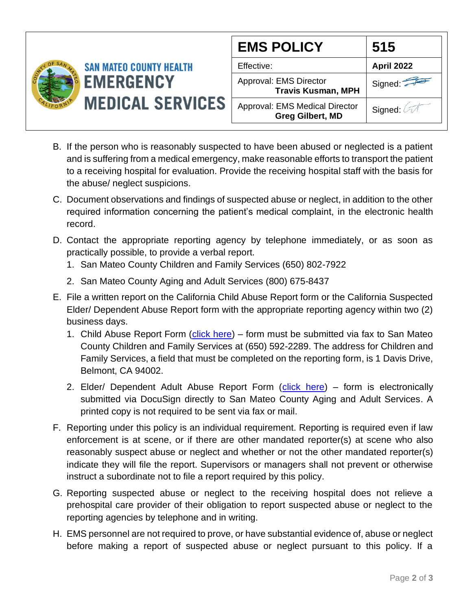

| <b>EMS POLICY</b>                                                | 515        |
|------------------------------------------------------------------|------------|
| Effective:                                                       | April 2022 |
| Approval: EMS Director<br><b>Travis Kusman, MPH</b>              | Signed:    |
| <b>Approval: EMS Medical Director</b><br><b>Greg Gilbert, MD</b> | Signed:    |

- B. If the person who is reasonably suspected to have been abused or neglected is a patient and is suffering from a medical emergency, make reasonable efforts to transport the patient to a receiving hospital for evaluation. Provide the receiving hospital staff with the basis for the abuse/ neglect suspicions.
- C. Document observations and findings of suspected abuse or neglect, in addition to the other required information concerning the patient's medical complaint, in the electronic health record.
- D. Contact the appropriate reporting agency by telephone immediately, or as soon as practically possible, to provide a verbal report.
	- 1. San Mateo County Children and Family Services (650) 802-7922
	- 2. San Mateo County Aging and Adult Services (800) 675-8437
- E. File a written report on the California Child Abuse Report form or the California Suspected Elder/ Dependent Abuse Report form with the appropriate reporting agency within two (2) business days.
	- 1. Child Abuse Report Form [\(click here\)](https://nochildabuse.org/wp-content/uploads/2017/10/Mandated-Reporter-Form-ss008572.pdf) form must be submitted via fax to San Mateo County Children and Family Services at (650) 592-2289. The address for Children and Family Services, a field that must be completed on the reporting form, is 1 Davis Drive, Belmont, CA 94002.
	- 2. Elder/ Dependent Adult Abuse Report Form [\(click here\)](https://powerforms.docusign.net/f909caf6-aeeb-4159-ac72-7d320e905a63?env=na3-eu1) form is electronically submitted via DocuSign directly to San Mateo County Aging and Adult Services. A printed copy is not required to be sent via fax or mail.
- F. Reporting under this policy is an individual requirement. Reporting is required even if law enforcement is at scene, or if there are other mandated reporter(s) at scene who also reasonably suspect abuse or neglect and whether or not the other mandated reporter(s) indicate they will file the report. Supervisors or managers shall not prevent or otherwise instruct a subordinate not to file a report required by this policy.
- G. Reporting suspected abuse or neglect to the receiving hospital does not relieve a prehospital care provider of their obligation to report suspected abuse or neglect to the reporting agencies by telephone and in writing.
- H. EMS personnel are not required to prove, or have substantial evidence of, abuse or neglect before making a report of suspected abuse or neglect pursuant to this policy. If a